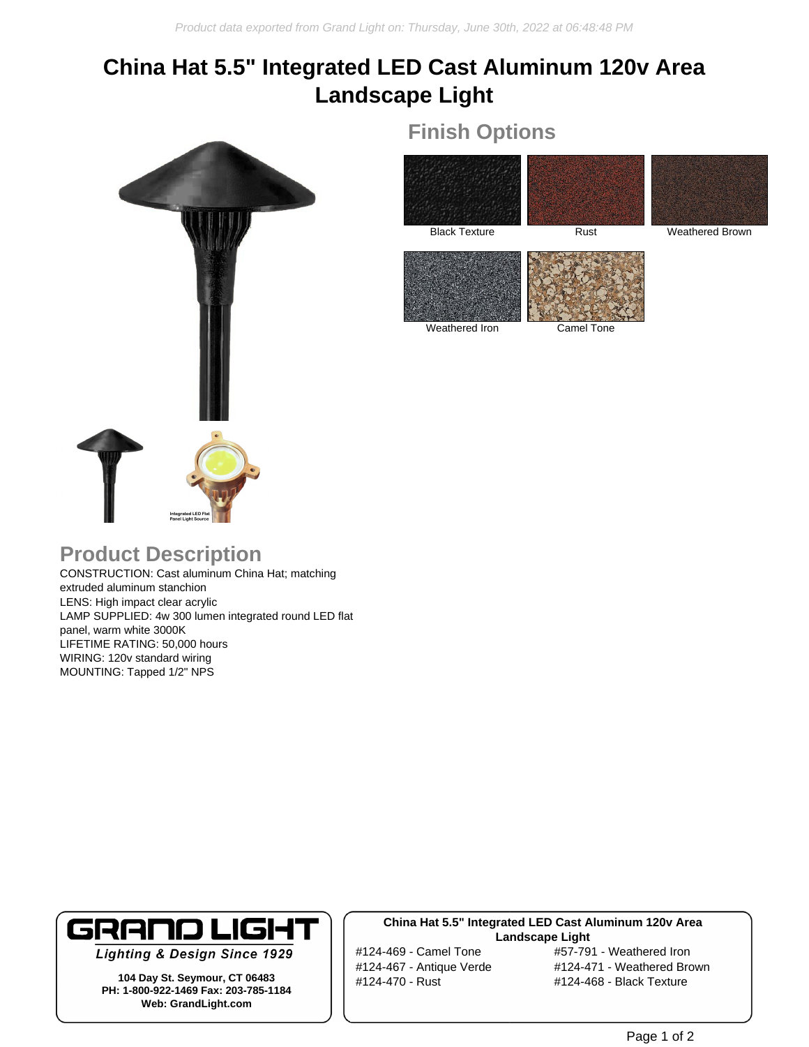# **China Hat 5.5" Integrated LED Cast Aluminum 120v Area Landscape Light**



## **Finish Options**



Weathered Iron Camel Tone

## **Product Description**

CONSTRUCTION: Cast aluminum China Hat; matching extruded aluminum stanchion LENS: High impact clear acrylic LAMP SUPPLIED: 4w 300 lumen integrated round LED flat panel, warm white 3000K LIFETIME RATING: 50,000 hours WIRING: 120v standard wiring MOUNTING: Tapped 1/2" NPS



**Lighting & Design Since 1929** 

**104 Day St. Seymour, CT 06483 PH: 1-800-922-1469 Fax: 203-785-1184 Web: GrandLight.com**

### **China Hat 5.5" Integrated LED Cast Aluminum 120v Area Landscape Light**

#124-470 - Rust #124-468 - Black Texture

#124-469 - Camel Tone #57-791 - Weathered Iron #124-467 - Antique Verde #124-471 - Weathered Brown